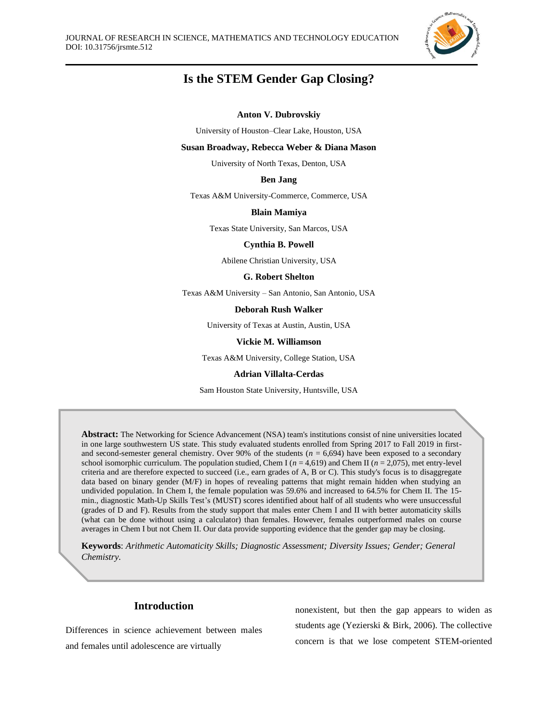

# **Is the STEM Gender Gap Closing?**

#### **Anton V. Dubrovskiy**

University of Houston–Clear Lake, Houston, USA

#### **Susan Broadway, Rebecca Weber & Diana Mason**

University of North Texas, Denton, USA

#### **Ben Jang**

Texas A&M University-Commerce, Commerce, USA

#### **Blain Mamiya**

Texas State University, San Marcos, USA

#### **Cynthia B. Powell**

Abilene Christian University, USA

#### **G. Robert Shelton**

Texas A&M University – San Antonio, San Antonio, USA

#### **Deborah Rush Walker**

University of Texas at Austin, Austin, USA

#### **Vickie M. Williamson**

Texas A&M University, College Station, USA

#### **Adrian Villalta-Cerdas**

Sam Houston State University, Huntsville, USA

**Abstract:** The Networking for Science Advancement (NSA) team's institutions consist of nine universities located in one large southwestern US state. This study evaluated students enrolled from Spring 2017 to Fall 2019 in firstand second-semester general chemistry. Over 90% of the students  $(n = 6,694)$  have been exposed to a secondary school isomorphic curriculum. The population studied, Chem I (*n* = 4,619) and Chem II (*n* = 2,075), met entry-level criteria and are therefore expected to succeed (i.e., earn grades of A, B or C). This study's focus is to disaggregate data based on binary gender (M/F) in hopes of revealing patterns that might remain hidden when studying an undivided population. In Chem I, the female population was 59.6% and increased to 64.5% for Chem II. The 15 min., diagnostic Math-Up Skills Test's (MUST) scores identified about half of all students who were unsuccessful (grades of D and F). Results from the study support that males enter Chem I and II with better automaticity skills (what can be done without using a calculator) than females. However, females outperformed males on course averages in Chem I but not Chem II. Our data provide supporting evidence that the gender gap may be closing.

**Keywords**: *Arithmetic Automaticity Skills; Diagnostic Assessment; Diversity Issues; Gender; General Chemistry.*

## **Introduction**

Differences in science achievement between males and females until adolescence are virtually

nonexistent, but then the gap appears to widen as students age (Yezierski & Birk, 2006). The collective concern is that we lose competent STEM-oriented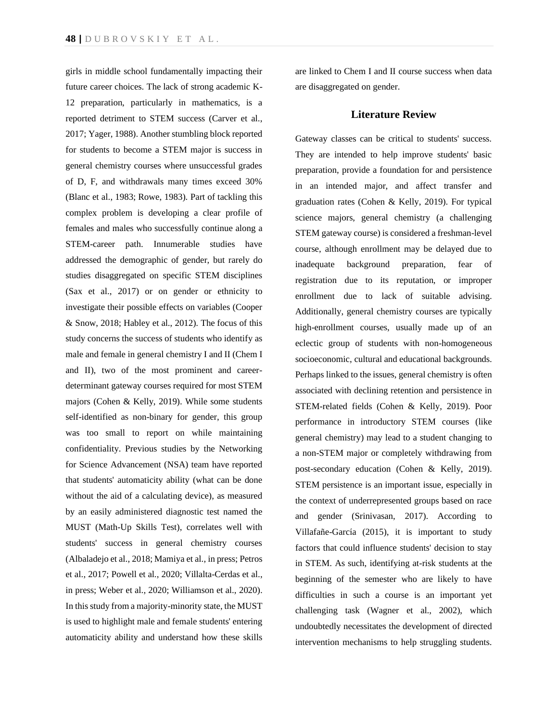girls in middle school fundamentally impacting their future career choices. The lack of strong academic K-12 preparation, particularly in mathematics, is a reported detriment to STEM success (Carver et al., 2017; Yager, 1988). Another stumbling block reported for students to become a STEM major is success in general chemistry courses where unsuccessful grades of D, F, and withdrawals many times exceed 30% (Blanc et al., 1983; Rowe, 1983). Part of tackling this complex problem is developing a clear profile of females and males who successfully continue along a STEM-career path. Innumerable studies have addressed the demographic of gender, but rarely do studies disaggregated on specific STEM disciplines (Sax et al., 2017) or on gender or ethnicity to investigate their possible effects on variables (Cooper & Snow, 2018; Habley et al., 2012). The focus of this study concerns the success of students who identify as male and female in general chemistry I and II (Chem I and II), two of the most prominent and careerdeterminant gateway courses required for most STEM majors (Cohen & Kelly, 2019). While some students self-identified as non-binary for gender, this group was too small to report on while maintaining confidentiality. Previous studies by the Networking for Science Advancement (NSA) team have reported that students' automaticity ability (what can be done without the aid of a calculating device), as measured by an easily administered diagnostic test named the MUST (Math-Up Skills Test), correlates well with students' success in general chemistry courses (Albaladejo et al., 2018; Mamiya et al., in press; Petros et al., 2017; Powell et al., 2020; Villalta-Cerdas et al., in press; Weber et al., 2020; Williamson et al., 2020). In this study from a majority-minority state, the MUST is used to highlight male and female students' entering automaticity ability and understand how these skills

are linked to Chem I and II course success when data are disaggregated on gender.

## **Literature Review**

Gateway classes can be critical to students' success. They are intended to help improve students' basic preparation, provide a foundation for and persistence in an intended major, and affect transfer and graduation rates (Cohen & Kelly, 2019). For typical science majors, general chemistry (a challenging STEM gateway course) is considered a freshman-level course, although enrollment may be delayed due to inadequate background preparation, fear of registration due to its reputation, or improper enrollment due to lack of suitable advising. Additionally, general chemistry courses are typically high-enrollment courses, usually made up of an eclectic group of students with non-homogeneous socioeconomic, cultural and educational backgrounds. Perhaps linked to the issues, general chemistry is often associated with declining retention and persistence in STEM-related fields (Cohen & Kelly, 2019). Poor performance in introductory STEM courses (like general chemistry) may lead to a student changing to a non-STEM major or completely withdrawing from post-secondary education (Cohen & Kelly, 2019). STEM persistence is an important issue, especially in the context of underrepresented groups based on race and gender (Srinivasan, 2017). According to Villafañe-García (2015), it is important to study factors that could influence students' decision to stay in STEM. As such, identifying at-risk students at the beginning of the semester who are likely to have difficulties in such a course is an important yet challenging task (Wagner et al., 2002), which undoubtedly necessitates the development of directed intervention mechanisms to help struggling students.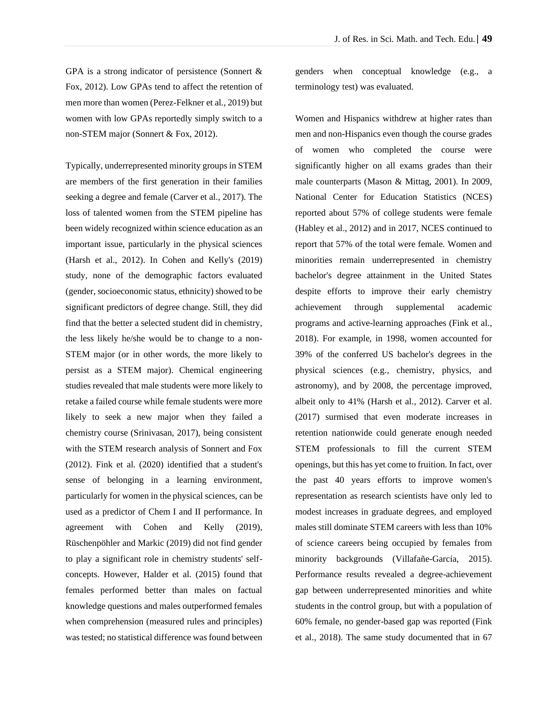GPA is a strong indicator of persistence (Sonnert & Fox, 2012). Low GPAs tend to affect the retention of men more than women (Perez-Felkner et al., 2019) but women with low GPAs reportedly simply switch to a non-STEM major (Sonnert & Fox, 2012).

Typically, underrepresented minority groups in STEM are members of the first generation in their families seeking a degree and female (Carver et al., 2017). The loss of talented women from the STEM pipeline has been widely recognized within science education as an important issue, particularly in the physical sciences (Harsh et al., 2012). In Cohen and Kelly's (2019) study, none of the demographic factors evaluated (gender, socioeconomic status, ethnicity) showed to be significant predictors of degree change. Still, they did find that the better a selected student did in chemistry, the less likely he/she would be to change to a non-STEM major (or in other words, the more likely to persist as a STEM major). Chemical engineering studies revealed that male students were more likely to retake a failed course while female students were more likely to seek a new major when they failed a chemistry course (Srinivasan, 2017), being consistent with the STEM research analysis of Sonnert and Fox (2012). Fink et al. (2020) identified that a student's sense of belonging in a learning environment, particularly for women in the physical sciences, can be used as a predictor of Chem I and II performance. In agreement with Cohen and Kelly (2019), Rüschenpöhler and Markic (2019) did not find gender to play a significant role in chemistry students' selfconcepts. However, Halder et al. (2015) found that females performed better than males on factual knowledge questions and males outperformed females when comprehension (measured rules and principles) was tested; no statistical difference was found between

genders when conceptual knowledge (e.g., a terminology test) was evaluated.

Women and Hispanics withdrew at higher rates than men and non-Hispanics even though the course grades of women who completed the course were significantly higher on all exams grades than their male counterparts (Mason & Mittag, 2001). In 2009, National Center for Education Statistics (NCES) reported about 57% of college students were female (Habley et al., 2012) and in 2017, NCES continued to report that 57% of the total were female. Women and minorities remain underrepresented in chemistry bachelor's degree attainment in the United States despite efforts to improve their early chemistry achievement through supplemental academic programs and active-learning approaches (Fink et al., 2018). For example, in 1998, women accounted for 39% of the conferred US bachelor's degrees in the physical sciences (e.g., chemistry, physics, and astronomy), and by 2008, the percentage improved, albeit only to 41% (Harsh et al., 2012). Carver et al. (2017) surmised that even moderate increases in retention nationwide could generate enough needed STEM professionals to fill the current STEM openings, but this has yet come to fruition. In fact, over the past 40 years efforts to improve women's representation as research scientists have only led to modest increases in graduate degrees, and employed males still dominate STEM careers with less than 10% of science careers being occupied by females from minority backgrounds (Villafañe-García, 2015). Performance results revealed a degree-achievement gap between underrepresented minorities and white students in the control group, but with a population of 60% female, no gender-based gap was reported (Fink et al., 2018). The same study documented that in 67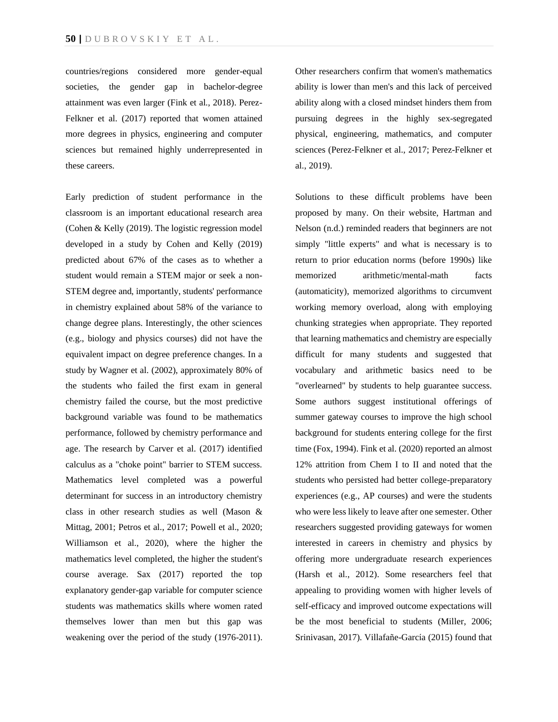countries/regions considered more gender-equal societies, the gender gap in bachelor-degree attainment was even larger (Fink et al., 2018). Perez-Felkner et al. (2017) reported that women attained more degrees in physics, engineering and computer sciences but remained highly underrepresented in these careers.

Early prediction of student performance in the classroom is an important educational research area (Cohen & Kelly (2019). The logistic regression model developed in a study by Cohen and Kelly (2019) predicted about 67% of the cases as to whether a student would remain a STEM major or seek a non-STEM degree and, importantly, students' performance in chemistry explained about 58% of the variance to change degree plans. Interestingly, the other sciences (e.g., biology and physics courses) did not have the equivalent impact on degree preference changes. In a study by Wagner et al. (2002), approximately 80% of the students who failed the first exam in general chemistry failed the course, but the most predictive background variable was found to be mathematics performance, followed by chemistry performance and age. The research by Carver et al. (2017) identified calculus as a "choke point" barrier to STEM success. Mathematics level completed was a powerful determinant for success in an introductory chemistry class in other research studies as well (Mason & Mittag, 2001; Petros et al., 2017; Powell et al., 2020; Williamson et al., 2020), where the higher the mathematics level completed, the higher the student's course average. Sax (2017) reported the top explanatory gender-gap variable for computer science students was mathematics skills where women rated themselves lower than men but this gap was weakening over the period of the study (1976-2011).

Other researchers confirm that women's mathematics ability is lower than men's and this lack of perceived ability along with a closed mindset hinders them from pursuing degrees in the highly sex-segregated physical, engineering, mathematics, and computer sciences (Perez-Felkner et al., 2017; Perez-Felkner et al., 2019).

Solutions to these difficult problems have been proposed by many. On their website, Hartman and Nelson (n.d.) reminded readers that beginners are not simply "little experts" and what is necessary is to return to prior education norms (before 1990s) like memorized arithmetic/mental-math facts (automaticity), memorized algorithms to circumvent working memory overload, along with employing chunking strategies when appropriate. They reported that learning mathematics and chemistry are especially difficult for many students and suggested that vocabulary and arithmetic basics need to be "overlearned" by students to help guarantee success. Some authors suggest institutional offerings of summer gateway courses to improve the high school background for students entering college for the first time (Fox, 1994). Fink et al. (2020) reported an almost 12% attrition from Chem I to II and noted that the students who persisted had better college-preparatory experiences (e.g., AP courses) and were the students who were less likely to leave after one semester. Other researchers suggested providing gateways for women interested in careers in chemistry and physics by offering more undergraduate research experiences (Harsh et al., 2012). Some researchers feel that appealing to providing women with higher levels of self-efficacy and improved outcome expectations will be the most beneficial to students (Miller, 2006; Srinivasan, 2017). Villafañe-García (2015) found that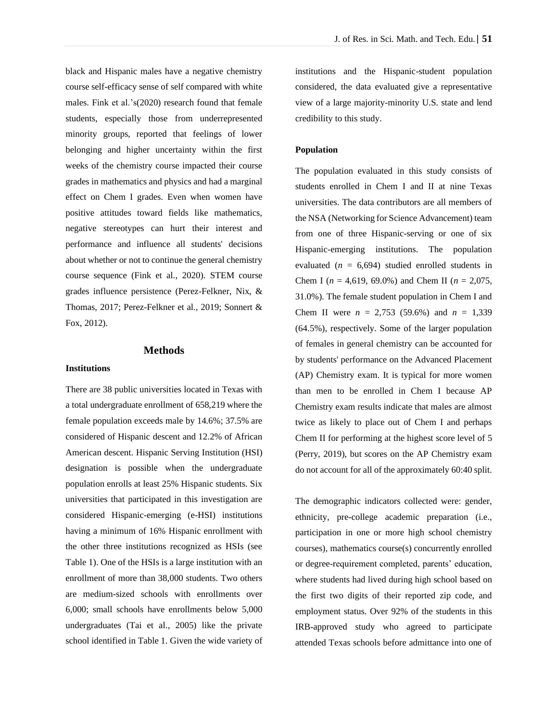black and Hispanic males have a negative chemistry course self-efficacy sense of self compared with white males. Fink et al.'s(2020) research found that female students, especially those from underrepresented minority groups, reported that feelings of lower belonging and higher uncertainty within the first weeks of the chemistry course impacted their course grades in mathematics and physics and had a marginal effect on Chem I grades. Even when women have positive attitudes toward fields like mathematics, negative stereotypes can hurt their interest and performance and influence all students' decisions about whether or not to continue the general chemistry course sequence (Fink et al., 2020). STEM course grades influence persistence (Perez-Felkner, Nix, & Thomas, 2017; Perez-Felkner et al., 2019; Sonnert & Fox, 2012).

## **Methods**

#### **Institutions**

There are 38 public universities located in Texas with a total undergraduate enrollment of 658,219 where the female population exceeds male by 14.6%; 37.5% are considered of Hispanic descent and 12.2% of African American descent. Hispanic Serving Institution (HSI) designation is possible when the undergraduate population enrolls at least 25% Hispanic students. Six universities that participated in this investigation are considered Hispanic-emerging (e-HSI) institutions having a minimum of 16% Hispanic enrollment with the other three institutions recognized as HSIs (see Table 1). One of the HSIs is a large institution with an enrollment of more than 38,000 students. Two others are medium-sized schools with enrollments over 6,000; small schools have enrollments below 5,000 undergraduates (Tai et al., 2005) like the private school identified in Table 1. Given the wide variety of institutions and the Hispanic-student population considered, the data evaluated give a representative view of a large majority-minority U.S. state and lend credibility to this study.

#### **Population**

The population evaluated in this study consists of students enrolled in Chem I and II at nine Texas universities. The data contributors are all members of the NSA (Networking for Science Advancement) team from one of three Hispanic-serving or one of six Hispanic-emerging institutions. The population evaluated  $(n = 6,694)$  studied enrolled students in Chem I ( $n = 4,619, 69.0\%$ ) and Chem II ( $n = 2,075$ , 31.0%). The female student population in Chem I and Chem II were  $n = 2,753$  (59.6%) and  $n = 1,339$ (64.5%), respectively. Some of the larger population of females in general chemistry can be accounted for by students' performance on the Advanced Placement (AP) Chemistry exam. It is typical for more women than men to be enrolled in Chem I because AP Chemistry exam results indicate that males are almost twice as likely to place out of Chem I and perhaps Chem II for performing at the highest score level of 5 (Perry, 2019), but scores on the AP Chemistry exam do not account for all of the approximately 60:40 split.

The demographic indicators collected were: gender, ethnicity, pre-college academic preparation (i.e., participation in one or more high school chemistry courses), mathematics course(s) concurrently enrolled or degree-requirement completed, parents' education, where students had lived during high school based on the first two digits of their reported zip code, and employment status. Over 92% of the students in this IRB-approved study who agreed to participate attended Texas schools before admittance into one of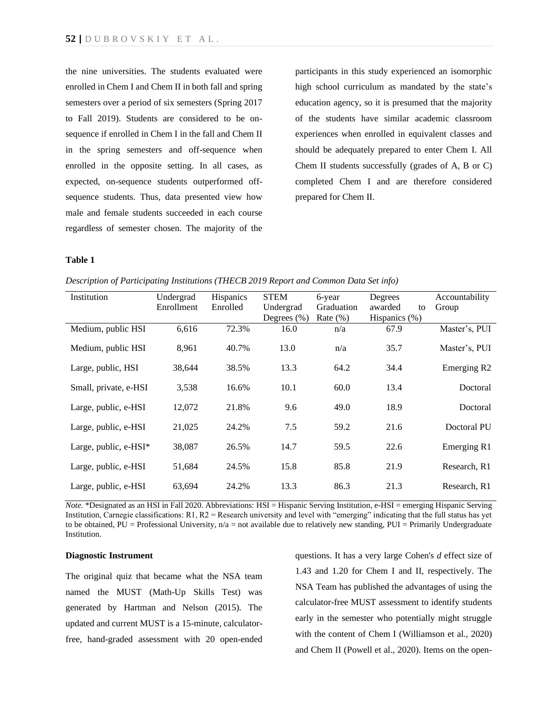the nine universities. The students evaluated were enrolled in Chem I and Chem II in both fall and spring semesters over a period of six semesters (Spring 2017 to Fall 2019). Students are considered to be onsequence if enrolled in Chem I in the fall and Chem II in the spring semesters and off-sequence when enrolled in the opposite setting. In all cases, as expected, on-sequence students outperformed offsequence students. Thus, data presented view how male and female students succeeded in each course regardless of semester chosen. The majority of the participants in this study experienced an isomorphic high school curriculum as mandated by the state's education agency, so it is presumed that the majority of the students have similar academic classroom experiences when enrolled in equivalent classes and should be adequately prepared to enter Chem I. All Chem II students successfully (grades of A, B or C) completed Chem I and are therefore considered prepared for Chem II.

### **Table 1**

*Description of Participating Institutions (THECB 2019 Report and Common Data Set info)* 

| Institution           | Undergrad<br>Enrollment | Hispanics<br>Enrolled | <b>STEM</b><br>Undergrad | 6-year<br>Graduation | Degrees<br>awarded<br>to | Accountability<br>Group |
|-----------------------|-------------------------|-----------------------|--------------------------|----------------------|--------------------------|-------------------------|
|                       |                         |                       | Degrees $(\%)$           | Rate $(\% )$         | Hispanics (%)            |                         |
| Medium, public HSI    | 6.616                   | 72.3%                 | 16.0                     | n/a                  | 67.9                     | Master's, PUI           |
| Medium, public HSI    | 8,961                   | 40.7%                 | 13.0                     | n/a                  | 35.7                     | Master's, PUI           |
| Large, public, HSI    | 38,644                  | 38.5%                 | 13.3                     | 64.2                 | 34.4                     | Emerging R <sub>2</sub> |
| Small, private, e-HSI | 3,538                   | 16.6%                 | 10.1                     | 60.0                 | 13.4                     | Doctoral                |
| Large, public, e-HSI  | 12,072                  | 21.8%                 | 9.6                      | 49.0                 | 18.9                     | Doctoral                |
| Large, public, e-HSI  | 21,025                  | 24.2%                 | 7.5                      | 59.2                 | 21.6                     | Doctoral PU             |
| Large, public, e-HSI* | 38,087                  | 26.5%                 | 14.7                     | 59.5                 | 22.6                     | Emerging R1             |
| Large, public, e-HSI  | 51,684                  | 24.5%                 | 15.8                     | 85.8                 | 21.9                     | Research, R1            |
| Large, public, e-HSI  | 63,694                  | 24.2%                 | 13.3                     | 86.3                 | 21.3                     | Research, R1            |

*Note.* \*Designated as an HSI in Fall 2020. Abbreviations: HSI = Hispanic Serving Institution, e-HSI = emerging Hispanic Serving Institution, Carnegie classifications: R1, R2 = Research university and level with "emerging" indicating that the full status has yet to be obtained, PU = Professional University,  $n/a$  = not available due to relatively new standing, PUI = Primarily Undergraduate Institution.

### **Diagnostic Instrument**

The original quiz that became what the NSA team named the MUST (Math-Up Skills Test) was generated by Hartman and Nelson (2015). The updated and current MUST is a 15-minute, calculatorfree, hand-graded assessment with 20 open-ended questions. It has a very large Cohen's *d* effect size of 1.43 and 1.20 for Chem I and II, respectively. The NSA Team has published the advantages of using the calculator-free MUST assessment to identify students early in the semester who potentially might struggle with the content of Chem I (Williamson et al., 2020) and Chem II (Powell et al., 2020). Items on the open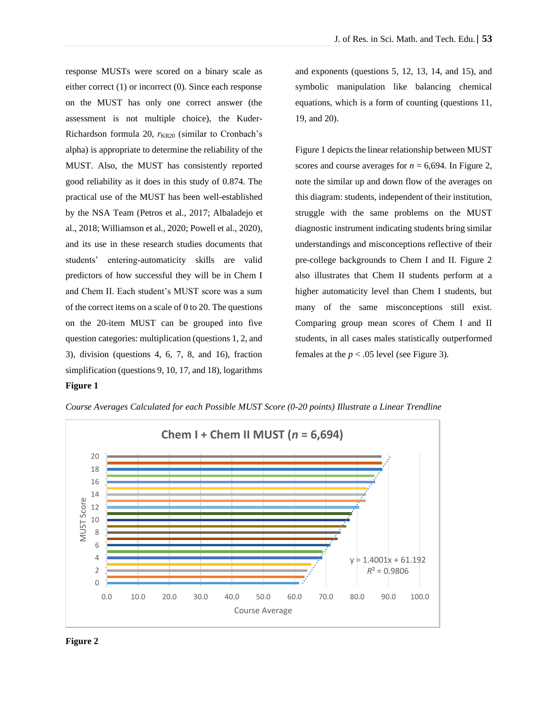response MUSTs were scored on a binary scale as either correct (1) or incorrect (0). Since each response on the MUST has only one correct answer (the assessment is not multiple choice), the Kuder-Richardson formula 20,  $r_{KR20}$  (similar to Cronbach's alpha) is appropriate to determine the reliability of the MUST. Also, the MUST has consistently reported good reliability as it does in this study of 0.874. The practical use of the MUST has been well-established by the NSA Team (Petros et al., 2017; Albaladejo et al., 2018; Williamson et al., 2020; Powell et al., 2020), and its use in these research studies documents that students' entering-automaticity skills are valid predictors of how successful they will be in Chem I and Chem II. Each student's MUST score was a sum of the correct items on a scale of 0 to 20. The questions on the 20-item MUST can be grouped into five question categories: multiplication (questions 1, 2, and 3), division (questions 4, 6, 7, 8, and 16), fraction simplification (questions 9, 10, 17, and 18), logarithms **Figure 1** 

and exponents (questions 5, 12, 13, 14, and 15), and symbolic manipulation like balancing chemical equations, which is a form of counting (questions 11, 19, and 20).

Figure 1 depicts the linear relationship between MUST scores and course averages for  $n = 6,694$ . In Figure 2, note the similar up and down flow of the averages on this diagram: students, independent of their institution, struggle with the same problems on the MUST diagnostic instrument indicating students bring similar understandings and misconceptions reflective of their pre-college backgrounds to Chem I and II. Figure 2 also illustrates that Chem II students perform at a higher automaticity level than Chem I students, but many of the same misconceptions still exist. Comparing group mean scores of Chem I and II students, in all cases males statistically outperformed females at the  $p < .05$  level (see Figure 3).

## $y = 1.4001x + 61.192$  $R^2 = 0.9806$ 0.0 10.0 20.0 30.0 40.0 50.0 60.0 70.0 80.0 90.0 100.0 0 2 4 6 8 10 12 14 16 18 20 Course Average MUST Score **Chem I + Chem II MUST (***n* **= 6,694)**

*Course Averages Calculated for each Possible MUST Score (0-20 points) Illustrate a Linear Trendline*

**Figure 2**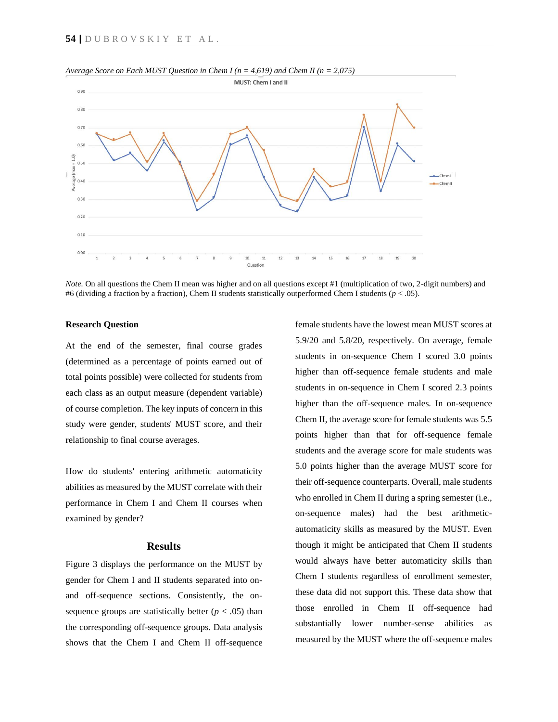

*Average Score on Each MUST Question in Chem I (n = 4,619) and Chem II (n = 2,075)* 

*Note.* On all questions the Chem II mean was higher and on all questions except #1 (multiplication of two, 2-digit numbers) and #6 (dividing a fraction by a fraction), Chem II students statistically outperformed Chem I students (*p* < .05).

#### **Research Question**

At the end of the semester, final course grades (determined as a percentage of points earned out of total points possible) were collected for students from each class as an output measure (dependent variable) of course completion. The key inputs of concern in this study were gender, students' MUST score, and their relationship to final course averages.

How do students' entering arithmetic automaticity abilities as measured by the MUST correlate with their performance in Chem I and Chem II courses when examined by gender?

## **Results**

Figure 3 displays the performance on the MUST by gender for Chem I and II students separated into onand off-sequence sections. Consistently, the onsequence groups are statistically better  $(p < .05)$  than the corresponding off-sequence groups. Data analysis shows that the Chem I and Chem II off-sequence female students have the lowest mean MUST scores at 5.9/20 and 5.8/20, respectively. On average, female students in on-sequence Chem I scored 3.0 points higher than off-sequence female students and male students in on-sequence in Chem I scored 2.3 points higher than the off-sequence males. In on-sequence Chem II, the average score for female students was 5.5 points higher than that for off-sequence female students and the average score for male students was 5.0 points higher than the average MUST score for their off-sequence counterparts. Overall, male students who enrolled in Chem II during a spring semester (i.e., on-sequence males) had the best arithmeticautomaticity skills as measured by the MUST. Even though it might be anticipated that Chem II students would always have better automaticity skills than Chem I students regardless of enrollment semester, these data did not support this. These data show that those enrolled in Chem II off-sequence had substantially lower number-sense abilities as measured by the MUST where the off-sequence males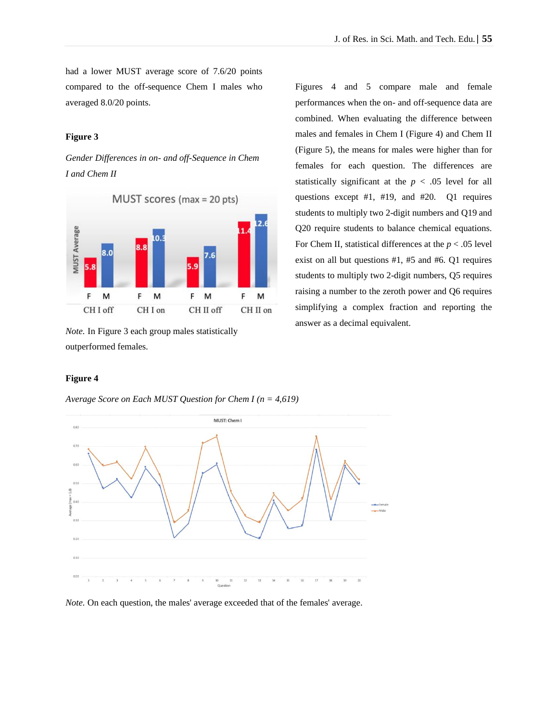had a lower MUST average score of 7.6/20 points compared to the off-sequence Chem I males who averaged 8.0/20 points.

## **Figure 3**

*Gender Differences in on- and off-Sequence in Chem I and Chem II* 



*Note.* In Figure 3 each group males statistically outperformed females.

Figures 4 and 5 compare male and female performances when the on- and off-sequence data are combined. When evaluating the difference between males and females in Chem I (Figure 4) and Chem II (Figure 5), the means for males were higher than for females for each question. The differences are statistically significant at the  $p < .05$  level for all questions except #1, #19, and #20. Q1 requires students to multiply two 2-digit numbers and Q19 and Q20 require students to balance chemical equations. For Chem II, statistical differences at the *p* < .05 level exist on all but questions #1, #5 and #6. Q1 requires students to multiply two 2-digit numbers, Q5 requires raising a number to the zeroth power and Q6 requires simplifying a complex fraction and reporting the answer as a decimal equivalent.

### **Figure 4**

*Average Score on Each MUST Question for Chem I (n = 4,619)*



*Note.* On each question, the males' average exceeded that of the females' average.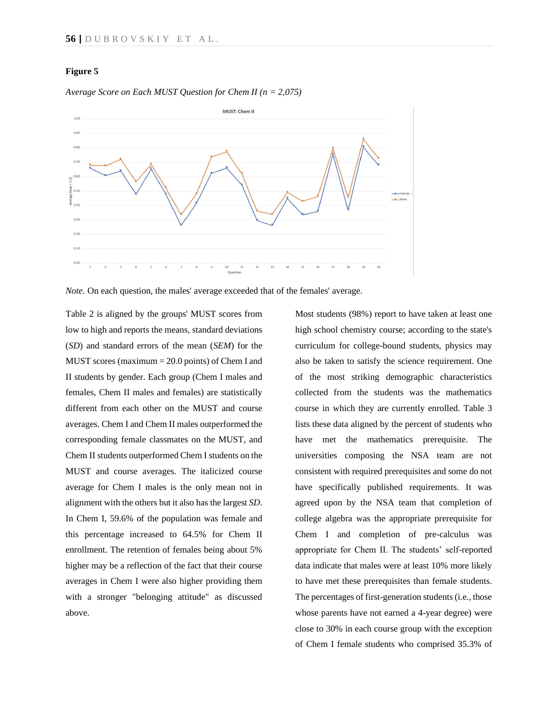## **Figure 5**



*Average Score on Each MUST Question for Chem II (n = 2,075)*

*Note.* On each question, the males' average exceeded that of the females' average.

Table 2 is aligned by the groups' MUST scores from low to high and reports the means, standard deviations (*SD*) and standard errors of the mean (*SEM*) for the MUST scores (maximum = 20.0 points) of Chem I and II students by gender. Each group (Chem I males and females, Chem II males and females) are statistically different from each other on the MUST and course averages. Chem I and Chem II males outperformed the corresponding female classmates on the MUST, and Chem II students outperformed Chem I students on the MUST and course averages. The italicized course average for Chem I males is the only mean not in alignment with the others but it also has the largest *SD*. In Chem I, 59.6% of the population was female and this percentage increased to 64.5% for Chem II enrollment. The retention of females being about 5% higher may be a reflection of the fact that their course averages in Chem I were also higher providing them with a stronger "belonging attitude" as discussed above.

Most students (98%) report to have taken at least one high school chemistry course; according to the state's curriculum for college-bound students, physics may also be taken to satisfy the science requirement. One of the most striking demographic characteristics collected from the students was the mathematics course in which they are currently enrolled. Table 3 lists these data aligned by the percent of students who have met the mathematics prerequisite. The universities composing the NSA team are not consistent with required prerequisites and some do not have specifically published requirements. It was agreed upon by the NSA team that completion of college algebra was the appropriate prerequisite for Chem I and completion of pre-calculus was appropriate for Chem II. The students' self-reported data indicate that males were at least 10% more likely to have met these prerequisites than female students. The percentages of first-generation students (i.e., those whose parents have not earned a 4-year degree) were close to 30% in each course group with the exception of Chem I female students who comprised 35.3% of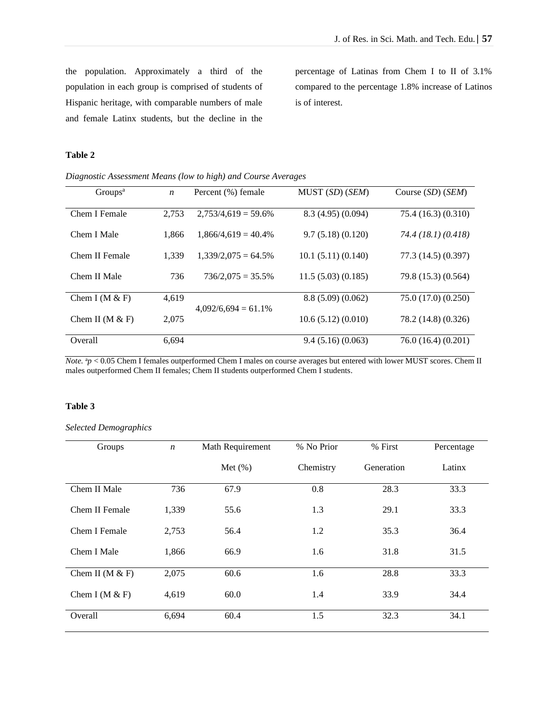the population. Approximately a third of the population in each group is comprised of students of Hispanic heritage, with comparable numbers of male and female Latinx students, but the decline in the percentage of Latinas from Chem I to II of 3.1% compared to the percentage 1.8% increase of Latinos is of interest.

## **Table 2**

| Groups <sup>a</sup> | $\boldsymbol{n}$ | Percent (%) female     | MUST (SD) (SEM)   | Course $(SD)$ $(SEM)$ |
|---------------------|------------------|------------------------|-------------------|-----------------------|
|                     |                  |                        |                   |                       |
|                     |                  |                        |                   |                       |
| Chem I Female       | 2,753            | $2,753/4,619 = 59.6\%$ | 8.3(4.95)(0.094)  | 75.4(16.3)(0.310)     |
|                     |                  |                        |                   |                       |
| Chem I Male         | 1.866            | $1,866/4,619 = 40.4\%$ | 9.7(5.18)(0.120)  | 74.4 (18.1) (0.418)   |
|                     |                  |                        |                   |                       |
|                     |                  |                        |                   |                       |
| Chem II Female      | 1.339            | $1.339/2.075 = 64.5\%$ | 10.1(5.11)(0.140) | 77.3 (14.5) (0.397)   |
|                     |                  |                        |                   |                       |
|                     |                  |                        |                   |                       |
| Chem II Male        | 736              | $736/2,075 = 35.5\%$   | 11.5(5.03)(0.185) | 79.8 (15.3) (0.564)   |
|                     |                  |                        |                   |                       |
| Chem I (M $\&$ F)   | 4,619            |                        | 8.8(5.09)(0.062)  | 75.0 (17.0) (0.250)   |
|                     |                  |                        |                   |                       |
|                     |                  | $4,092/6,694 = 61.1\%$ |                   |                       |
| Chem II ( $M & F$ ) | 2,075            |                        | 10.6(5.12)(0.010) | 78.2 (14.8) (0.326)   |
|                     |                  |                        |                   |                       |
|                     |                  |                        |                   |                       |
| Overall             | 6.694            |                        | 9.4(5.16)(0.063)  | 76.0(16.4)(0.201)     |
|                     |                  |                        |                   |                       |

*Note.*  $a_p < 0.05$  Chem I females outperformed Chem I males on course averages but entered with lower MUST scores. Chem II males outperformed Chem II females; Chem II students outperformed Chem I students.

## **Table 3**

## *Selected Demographics*

| Groups              | $\boldsymbol{n}$ | Math Requirement | % No Prior |            | Percentage |
|---------------------|------------------|------------------|------------|------------|------------|
|                     |                  | Met $(\%)$       | Chemistry  | Generation | Latinx     |
| Chem II Male        | 736              | 67.9             | 0.8        | 28.3       | 33.3       |
| Chem II Female      | 1,339            | 55.6             | 1.3        | 29.1       | 33.3       |
| Chem I Female       | 2,753            | 56.4             | 1.2        | 35.3       | 36.4       |
| Chem I Male         | 1,866            | 66.9             | 1.6        | 31.8       | 31.5       |
| Chem II ( $M & F$ ) | 2,075            | 60.6             | 1.6        | 28.8       | 33.3       |
| Chem I ( $M & F$ )  | 4,619            | 60.0             | 1.4        | 33.9       | 34.4       |
| Overall             | 6,694            | 60.4             | 1.5        | 32.3       | 34.1       |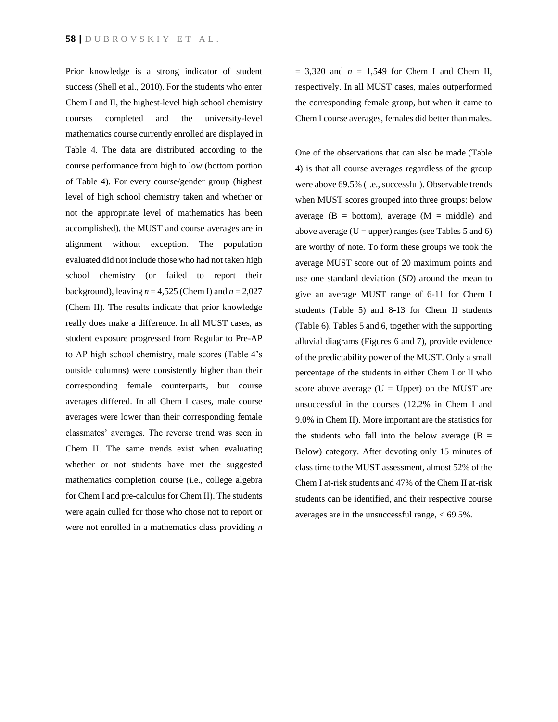Prior knowledge is a strong indicator of student success (Shell et al., 2010). For the students who enter Chem I and II, the highest-level high school chemistry courses completed and the university-level mathematics course currently enrolled are displayed in Table 4. The data are distributed according to the course performance from high to low (bottom portion of Table 4). For every course/gender group (highest level of high school chemistry taken and whether or not the appropriate level of mathematics has been accomplished), the MUST and course averages are in alignment without exception. The population evaluated did not include those who had not taken high school chemistry (or failed to report their background), leaving  $n = 4,525$  (Chem I) and  $n = 2,027$ (Chem II). The results indicate that prior knowledge really does make a difference. In all MUST cases, as student exposure progressed from Regular to Pre-AP to AP high school chemistry, male scores (Table 4's outside columns) were consistently higher than their corresponding female counterparts, but course averages differed. In all Chem I cases, male course averages were lower than their corresponding female classmates' averages. The reverse trend was seen in Chem II. The same trends exist when evaluating whether or not students have met the suggested mathematics completion course (i.e., college algebra for Chem I and pre-calculus for Chem II). The students were again culled for those who chose not to report or were not enrolled in a mathematics class providing *n*

 $= 3,320$  and  $n = 1,549$  for Chem I and Chem II, respectively. In all MUST cases, males outperformed the corresponding female group, but when it came to Chem I course averages, females did better than males.

One of the observations that can also be made (Table 4) is that all course averages regardless of the group were above 69.5% (i.e., successful). Observable trends when MUST scores grouped into three groups: below average  $(B = bottom)$ , average  $(M = middle)$  and above average ( $U =$ upper) ranges (see Tables 5 and 6) are worthy of note. To form these groups we took the average MUST score out of 20 maximum points and use one standard deviation (*SD*) around the mean to give an average MUST range of 6-11 for Chem I students (Table 5) and 8-13 for Chem II students (Table 6). Tables 5 and 6, together with the supporting alluvial diagrams (Figures 6 and 7), provide evidence of the predictability power of the MUST. Only a small percentage of the students in either Chem I or II who score above average  $(U = Upper)$  on the MUST are unsuccessful in the courses (12.2% in Chem I and 9.0% in Chem II). More important are the statistics for the students who fall into the below average  $(B =$ Below) category. After devoting only 15 minutes of class time to the MUST assessment, almost 52% of the Chem I at-risk students and 47% of the Chem II at-risk students can be identified, and their respective course averages are in the unsuccessful range,  $<$  69.5%.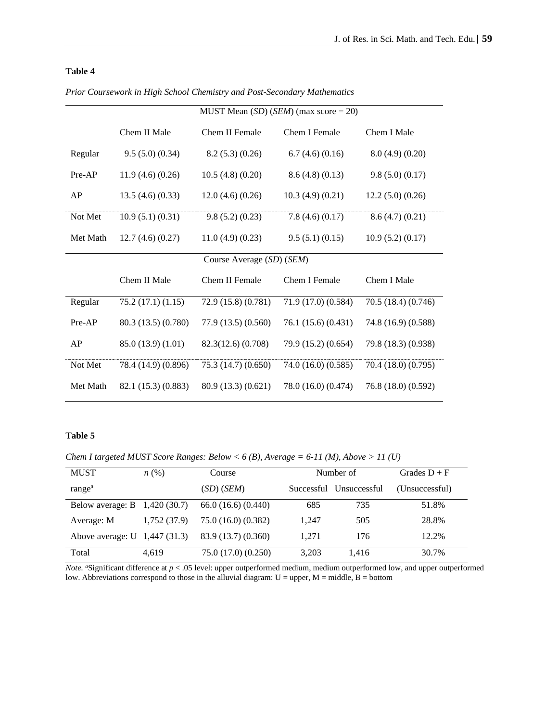## **Table 4**

|                           | MUST Mean $(SD)$ ( <i>SEM</i> ) (max score = 20) |                     |                     |                     |  |  |  |  |
|---------------------------|--------------------------------------------------|---------------------|---------------------|---------------------|--|--|--|--|
|                           | Chem II Male                                     | Chem II Female      | Chem I Female       | Chem I Male         |  |  |  |  |
| Regular                   | 9.5(5.0)(0.34)                                   | 8.2(5.3)(0.26)      | 6.7(4.6)(0.16)      | 8.0(4.9)(0.20)      |  |  |  |  |
| Pre-AP                    | 11.9(4.6)(0.26)                                  | 10.5(4.8)(0.20)     | 8.6(4.8)(0.13)      | 9.8(5.0)(0.17)      |  |  |  |  |
| AP                        | 13.5(4.6)(0.33)                                  | $12.0$ (4.6) (0.26) | 10.3(4.9)(0.21)     | 12.2(5.0)(0.26)     |  |  |  |  |
| Not Met                   | 10.9(5.1)(0.31)                                  | 9.8(5.2)(0.23)      | 7.8(4.6)(0.17)      | 8.6(4.7)(0.21)      |  |  |  |  |
| Met Math                  | 12.7(4.6)(0.27)                                  | 11.0(4.9)(0.23)     | 9.5(5.1)(0.15)      | 10.9(5.2)(0.17)     |  |  |  |  |
| Course Average (SD) (SEM) |                                                  |                     |                     |                     |  |  |  |  |
|                           | Chem II Male                                     | Chem II Female      | Chem I Female       | Chem I Male         |  |  |  |  |
| Regular                   | 75.2(17.1)(1.15)                                 | 72.9 (15.8) (0.781) | 71.9 (17.0) (0.584) | 70.5 (18.4) (0.746) |  |  |  |  |
| Pre-AP                    | 80.3 (13.5) (0.780)                              | 77.9 (13.5) (0.560) | 76.1 (15.6) (0.431) | 74.8 (16.9) (0.588) |  |  |  |  |
| AP                        | 85.0 (13.9) (1.01)                               | 82.3(12.6) (0.708)  | 79.9 (15.2) (0.654) | 79.8 (18.3) (0.938) |  |  |  |  |
| Not Met                   | 78.4 (14.9) (0.896)                              | 75.3 (14.7) (0.650) | 74.0 (16.0) (0.585) | 70.4 (18.0) (0.795) |  |  |  |  |
| Met Math                  | 82.1 (15.3) (0.883)                              | 80.9 (13.3) (0.621) | 78.0 (16.0) (0.474) | 76.8 (18.0) (0.592) |  |  |  |  |

*Prior Coursework in High School Chemistry and Post-Secondary Mathematics* 

## **Table 5**

*Chem I targeted MUST Score Ranges: Below < 6 (B), Average = 6-11 (M), Above > 11 (U)*

| <b>MUST</b>                      | $n\left(\%\right)$ | Course              | Number of |                         | Grades $D + F$ |
|----------------------------------|--------------------|---------------------|-----------|-------------------------|----------------|
| range <sup>a</sup>               |                    | $(SD)$ $(SEM)$      |           | Successful Unsuccessful | (Unsuccessful) |
| Below average: $B = 1,420(30.7)$ |                    | 66.0(16.6)(0.440)   | 685       | 735                     | 51.8%          |
| Average: M                       | 1,752 (37.9)       | 75.0 (16.0) (0.382) | 1.247     | 505                     | 28.8%          |
| Above average: $U$ 1,447 (31.3)  |                    | 83.9 (13.7) (0.360) | 1.271     | 176                     | 12.2%          |
| Total                            | 4.619              | 75.0 (17.0) (0.250) | 3.203     | 1,416                   | 30.7%          |

*Note. a*Significant difference at  $p < .05$  level: upper outperformed medium, medium outperformed low, and upper outperformed low. Abbreviations correspond to those in the alluvial diagram: U = upper, M = middle, B = bottom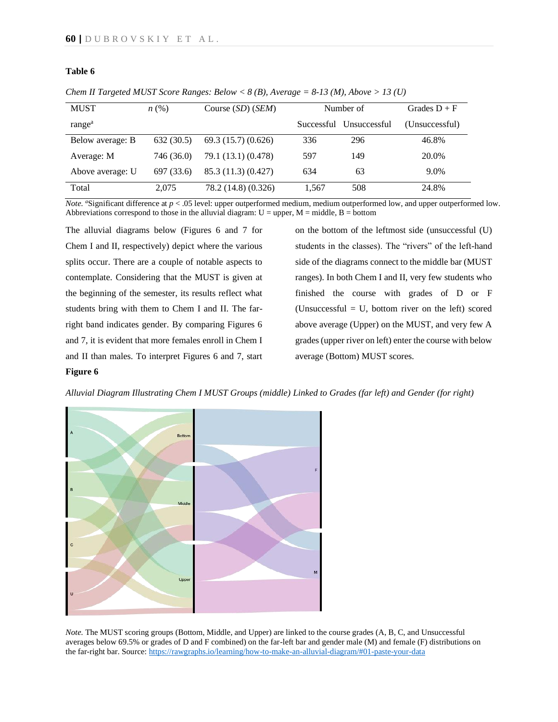## **Table 6**

| <b>MUST</b>        | n(%)       | Course $(SD)$ $(SEM)$ |            | Number of    | Grades $D + F$ |
|--------------------|------------|-----------------------|------------|--------------|----------------|
|                    |            |                       |            |              |                |
| range <sup>a</sup> |            |                       | Successful | Unsuccessful | (Unsuccessful) |
| Below average: B   | 632(30.5)  | 69.3(15.7)(0.626)     | 336        | 296          | 46.8%          |
| Average: M         | 746 (36.0) | 79.1 (13.1) (0.478)   | 597        | 149          | 20.0%          |
| Above average: U   | 697 (33.6) | 85.3 (11.3) (0.427)   | 634        | 63           | 9.0%           |
| Total              | 2.075      | 78.2 (14.8) (0.326)   | 1,567      | 508          | 24.8%          |

*Chem II Targeted MUST Score Ranges: Below*  $\langle 8 \rangle$  *(B), Average = 8-13 (M), Above > 13 (U)* 

*Note. a*Significant difference at  $p < .05$  level: upper outperformed medium, medium outperformed low, and upper outperformed low. Abbreviations correspond to those in the alluvial diagram:  $U =$  upper,  $M =$  middle,  $B =$  bottom

The alluvial diagrams below (Figures 6 and 7 for Chem I and II, respectively) depict where the various splits occur. There are a couple of notable aspects to contemplate. Considering that the MUST is given at the beginning of the semester, its results reflect what students bring with them to Chem I and II. The farright band indicates gender. By comparing Figures 6 and 7, it is evident that more females enroll in Chem I and II than males. To interpret Figures 6 and 7, start **Figure 6**

on the bottom of the leftmost side (unsuccessful (U) students in the classes). The "rivers" of the left-hand side of the diagrams connect to the middle bar (MUST ranges). In both Chem I and II, very few students who finished the course with grades of D or F (Unsuccessful  $= U$ , bottom river on the left) scored above average (Upper) on the MUST, and very few A grades (upper river on left) enter the course with below average (Bottom) MUST scores.

*Alluvial Diagram Illustrating Chem I MUST Groups (middle) Linked to Grades (far left) and Gender (for right)*



*Note.* The MUST scoring groups (Bottom, Middle, and Upper) are linked to the course grades (A, B, C, and Unsuccessful averages below 69.5% or grades of D and F combined) on the far-left bar and gender male (M) and female (F) distributions on the far-right bar. Source[: https://rawgraphs.io/learning/how-to-make-an-alluvial-diagram/#01-paste-your-data](https://rawgraphs.io/learning/how-to-make-an-alluvial-diagram/#01-paste-your-data)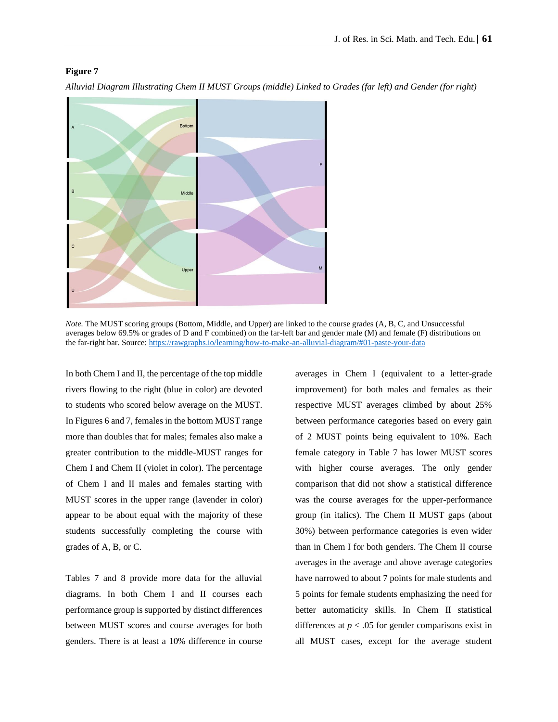## **Figure 7**



*Alluvial Diagram Illustrating Chem II MUST Groups (middle) Linked to Grades (far left) and Gender (for right)*

*Note.* The MUST scoring groups (Bottom, Middle, and Upper) are linked to the course grades (A, B, C, and Unsuccessful averages below 69.5% or grades of D and F combined) on the far-left bar and gender male (M) and female (F) distributions on the far-right bar. Source[: https://rawgraphs.io/learning/how-to-make-an-alluvial-diagram/#01-paste-your-data](https://rawgraphs.io/learning/how-to-make-an-alluvial-diagram/#01-paste-your-data)

In both Chem I and II, the percentage of the top middle rivers flowing to the right (blue in color) are devoted to students who scored below average on the MUST. In Figures 6 and 7, females in the bottom MUST range more than doubles that for males; females also make a greater contribution to the middle-MUST ranges for Chem I and Chem II (violet in color). The percentage of Chem I and II males and females starting with MUST scores in the upper range (lavender in color) appear to be about equal with the majority of these students successfully completing the course with grades of A, B, or C.

Tables 7 and 8 provide more data for the alluvial diagrams. In both Chem I and II courses each performance group is supported by distinct differences between MUST scores and course averages for both genders. There is at least a 10% difference in course averages in Chem I (equivalent to a letter-grade improvement) for both males and females as their respective MUST averages climbed by about 25% between performance categories based on every gain of 2 MUST points being equivalent to 10%. Each female category in Table 7 has lower MUST scores with higher course averages. The only gender comparison that did not show a statistical difference was the course averages for the upper-performance group (in italics). The Chem II MUST gaps (about 30%) between performance categories is even wider than in Chem I for both genders. The Chem II course averages in the average and above average categories have narrowed to about 7 points for male students and 5 points for female students emphasizing the need for better automaticity skills. In Chem II statistical differences at  $p < .05$  for gender comparisons exist in all MUST cases, except for the average student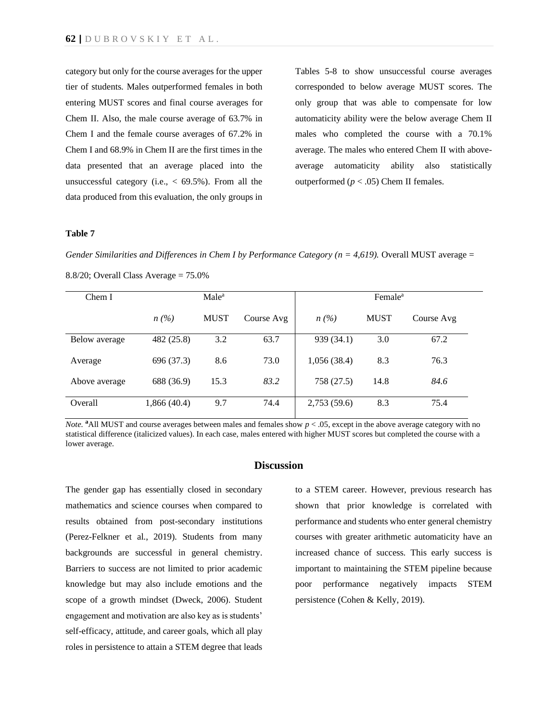category but only for the course averages for the upper tier of students. Males outperformed females in both entering MUST scores and final course averages for Chem II. Also, the male course average of 63.7% in Chem I and the female course averages of 67.2% in Chem I and 68.9% in Chem II are the first times in the data presented that an average placed into the unsuccessful category (i.e.,  $<$  69.5%). From all the data produced from this evaluation, the only groups in Tables 5-8 to show unsuccessful course averages corresponded to below average MUST scores. The only group that was able to compensate for low automaticity ability were the below average Chem II males who completed the course with a 70.1% average. The males who entered Chem II with aboveaverage automaticity ability also statistically outperformed ( $p < .05$ ) Chem II females.

#### **Table 7**

*Gender Similarities and Differences in Chem I by Performance Category (n = 4,619).* Overall MUST average =

| Chem I        | Male <sup>a</sup> |             |            |             | Female <sup>a</sup> |            |  |
|---------------|-------------------|-------------|------------|-------------|---------------------|------------|--|
|               | $n(\%)$           | <b>MUST</b> | Course Avg | n(%)        | <b>MUST</b>         | Course Avg |  |
| Below average | 482 (25.8)        | 3.2         | 63.7       | 939 (34.1)  | 3.0                 | 67.2       |  |
| Average       | 696 (37.3)        | 8.6         | 73.0       | 1,056(38.4) | 8.3                 | 76.3       |  |
| Above average | 688 (36.9)        | 15.3        | 83.2       | 758 (27.5)  | 14.8                | 84.6       |  |
| Overall       | 1,866 (40.4)      | 9.7         | 74.4       | 2,753(59.6) | 8.3                 | 75.4       |  |

8.8/20; Overall Class Average = 75.0%

*Note.* **a**All MUST and course averages between males and females show  $p < .05$ , except in the above average category with no statistical difference (italicized values). In each case, males entered with higher MUST scores but completed the course with a lower average.

## **Discussion**

The gender gap has essentially closed in secondary mathematics and science courses when compared to results obtained from post-secondary institutions (Perez-Felkner et al., 2019). Students from many backgrounds are successful in general chemistry. Barriers to success are not limited to prior academic knowledge but may also include emotions and the scope of a growth mindset (Dweck, 2006). Student engagement and motivation are also key as is students' self-efficacy, attitude, and career goals, which all play roles in persistence to attain a STEM degree that leads

to a STEM career. However, previous research has shown that prior knowledge is correlated with performance and students who enter general chemistry courses with greater arithmetic automaticity have an increased chance of success. This early success is important to maintaining the STEM pipeline because poor performance negatively impacts STEM persistence (Cohen & Kelly, 2019).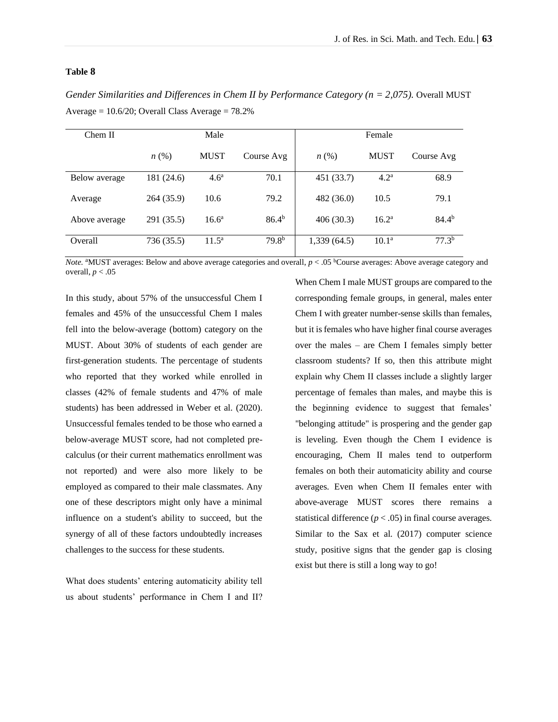## **Table 8**

*Gender Similarities and Differences in Chem II by Performance Category (n = 2,075).* Overall MUST Average  $= 10.6/20$ ; Overall Class Average  $= 78.2%$ 

| Chem II       | Male               |                  |                   | Female             |                   |                   |
|---------------|--------------------|------------------|-------------------|--------------------|-------------------|-------------------|
|               | $n\left(\%\right)$ | <b>MUST</b>      | Course Avg        | $n\left(\%\right)$ | <b>MUST</b>       | Course Avg        |
| Below average | 181 (24.6)         | 4.6 <sup>a</sup> | 70.1              | 451 (33.7)         | 4.2 <sup>a</sup>  | 68.9              |
| Average       | 264 (35.9)         | 10.6             | 79.2              | 482 (36.0)         | 10.5              | 79.1              |
| Above average | 291 (35.5)         | $16.6^{\rm a}$   | $86.4^{b}$        | 406(30.3)          | $16.2^{\rm a}$    | $84.4^{b}$        |
| Overall       | 736 (35.5)         | $11.5^{\rm a}$   | 79.8 <sup>b</sup> | 1,339(64.5)        | 10.1 <sup>a</sup> | 77.3 <sup>b</sup> |

*Note.* <sup>a</sup>MUST averages: Below and above average categories and overall,  $p < .05$  <sup>b</sup>Course averages: Above average category and overall,  $p < .05$ 

In this study, about 57% of the unsuccessful Chem I females and 45% of the unsuccessful Chem I males fell into the below-average (bottom) category on the MUST. About 30% of students of each gender are first-generation students. The percentage of students who reported that they worked while enrolled in classes (42% of female students and 47% of male students) has been addressed in Weber et al. (2020). Unsuccessful females tended to be those who earned a below-average MUST score, had not completed precalculus (or their current mathematics enrollment was not reported) and were also more likely to be employed as compared to their male classmates. Any one of these descriptors might only have a minimal influence on a student's ability to succeed, but the synergy of all of these factors undoubtedly increases challenges to the success for these students.

What does students' entering automaticity ability tell us about students' performance in Chem I and II? When Chem I male MUST groups are compared to the corresponding female groups, in general, males enter Chem I with greater number-sense skills than females, but it is females who have higher final course averages over the males – are Chem I females simply better classroom students? If so, then this attribute might explain why Chem II classes include a slightly larger percentage of females than males, and maybe this is the beginning evidence to suggest that females' "belonging attitude" is prospering and the gender gap is leveling. Even though the Chem I evidence is encouraging, Chem II males tend to outperform females on both their automaticity ability and course averages. Even when Chem II females enter with above-average MUST scores there remains a statistical difference  $(p < .05)$  in final course averages. Similar to the Sax et al. (2017) computer science study, positive signs that the gender gap is closing exist but there is still a long way to go!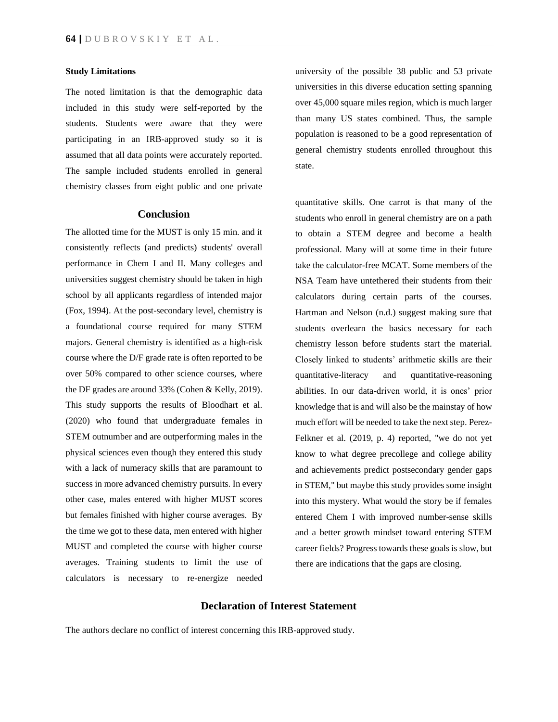#### **Study Limitations**

The noted limitation is that the demographic data included in this study were self-reported by the students. Students were aware that they were participating in an IRB-approved study so it is assumed that all data points were accurately reported. The sample included students enrolled in general chemistry classes from eight public and one private

### **Conclusion**

The allotted time for the MUST is only 15 min. and it consistently reflects (and predicts) students' overall performance in Chem I and II. Many colleges and universities suggest chemistry should be taken in high school by all applicants regardless of intended major (Fox, 1994). At the post-secondary level, chemistry is a foundational course required for many STEM majors. General chemistry is identified as a high-risk course where the D/F grade rate is often reported to be over 50% compared to other science courses, where the DF grades are around 33% (Cohen & Kelly, 2019). This study supports the results of Bloodhart et al. (2020) who found that undergraduate females in STEM outnumber and are outperforming males in the physical sciences even though they entered this study with a lack of numeracy skills that are paramount to success in more advanced chemistry pursuits. In every other case, males entered with higher MUST scores but females finished with higher course averages. By the time we got to these data, men entered with higher MUST and completed the course with higher course averages. Training students to limit the use of calculators is necessary to re-energize needed university of the possible 38 public and 53 private universities in this diverse education setting spanning over 45,000 square miles region, which is much larger than many US states combined. Thus, the sample population is reasoned to be a good representation of general chemistry students enrolled throughout this state.

quantitative skills. One carrot is that many of the students who enroll in general chemistry are on a path to obtain a STEM degree and become a health professional. Many will at some time in their future take the calculator-free MCAT. Some members of the NSA Team have untethered their students from their calculators during certain parts of the courses. Hartman and Nelson (n.d.) suggest making sure that students overlearn the basics necessary for each chemistry lesson before students start the material. Closely linked to students' arithmetic skills are their quantitative-literacy and quantitative-reasoning abilities. In our data-driven world, it is ones' prior knowledge that is and will also be the mainstay of how much effort will be needed to take the next step. Perez-Felkner et al. (2019, p. 4) reported, "we do not yet know to what degree precollege and college ability and achievements predict postsecondary gender gaps in STEM," but maybe this study provides some insight into this mystery. What would the story be if females entered Chem I with improved number-sense skills and a better growth mindset toward entering STEM career fields? Progress towards these goals is slow, but there are indications that the gaps are closing.

## **Declaration of Interest Statement**

The authors declare no conflict of interest concerning this IRB-approved study.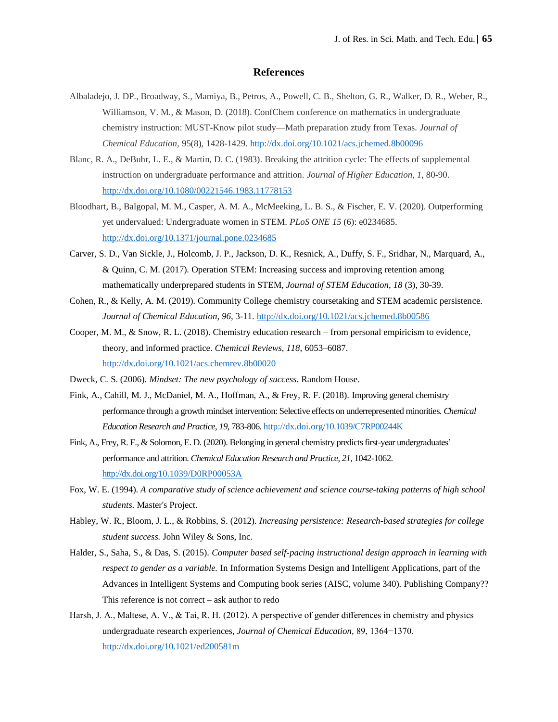## **References**

- Albaladejo, J. DP., Broadway, S., Mamiya, B., Petros, A., Powell, C. B., Shelton, G. R., Walker, D. R., Weber, R., Williamson, V. M., & Mason, D. (2018). ConfChem conference on mathematics in undergraduate chemistry instruction: MUST-Know pilot study—Math preparation ztudy from Texas. *Journal of Chemical Education,* 95(8), 1428-1429.<http://dx.doi.org/10.1021/acs.jchemed.8b00096>
- Blanc, R. A., DeBuhr, L. E., & Martin, D. C. (1983). Breaking the attrition cycle: The effects of supplemental instruction on undergraduate performance and attrition. *Journal of Higher Education*, *1*, 80-90. <http://dx.doi.org/10.1080/00221546.1983.11778153>
- Bloodhart, B., Balgopal, M. M., Casper, A. M. A., McMeeking, L. B. S., & Fischer, E. V. (2020). Outperforming yet undervalued: Undergraduate women in STEM. *PLoS ONE 15* (6): e0234685. <http://dx.doi.org/10.1371/journal.pone.0234685>
- Carver, S. D., Van Sickle, J., Holcomb, J. P., Jackson, D. K., Resnick, A., Duffy, S. F., Sridhar, N., Marquard, A., & Quinn, C. M. (2017). Operation STEM: Increasing success and improving retention among mathematically underprepared students in STEM, *Journal of STEM Education*, *18* (3), 30-39.
- Cohen, R., & Kelly, A. M. (2019). Community College chemistry coursetaking and STEM academic persistence. *Journal of Chemical Education*, *96,* 3-11[. http://dx.doi.org/10.1021/acs.jchemed.8b00586](http://dx.doi.org/10.1021/acs.jchemed.8b00586)
- Cooper, M. M., & Snow, R. L. (2018). Chemistry education research from personal empiricism to evidence, theory, and informed practice. *Chemical Reviews*, *118*, 6053–6087. <http://dx.doi.org/10.1021/acs.chemrev.8b00020>
- Dweck, C. S. (2006). *Mindset: The new psychology of success*. Random House.
- Fink, A., Cahill, M. J., McDaniel, M. A., Hoffman, A., & Frey, R. F. (2018). Improving general chemistry performance through a growth mindset intervention: Selective effects on underrepresented minorities. *Chemical Education Research and Practice*, *19*, 783-806[. http://dx.doi.org/10.1039/C7RP00244K](http://dx.doi.org/10.1039/C7RP00244K)
- Fink, A., Frey, R. F., & Solomon, E. D. (2020). Belonging in general chemistry predicts first-year undergraduates' performance and attrition. *Chemical Education Research and Practice*, *21*, 1042-1062. http://dx.doi.org/10.1039/D0RP00053A
- Fox, W. E. (1994). *A comparative study of science achievement and science course-taking patterns of high school students*. Master's Project.
- Habley, W. R., Bloom, J. L., & Robbins, S. (2012). *Increasing persistence: Research-based strategies for college student success.* John Wiley & Sons, Inc.
- Halder, S., Saha, S., & Das, S. (2015). *Computer based self-pacing instructional design approach in learning with respect to gender as a variable.* In Information Systems Design and Intelligent Applications, part of the Advances in Intelligent Systems and Computing book series (AISC, volume 340). Publishing Company?? This reference is not correct – ask author to redo
- Harsh, J. A., Maltese, A. V., & Tai, R. H. (2012). A perspective of gender differences in chemistry and physics undergraduate research experiences, *Journal of Chemical Education,* 89, 1364−1370. <http://dx.doi.org/10.1021/ed200581m>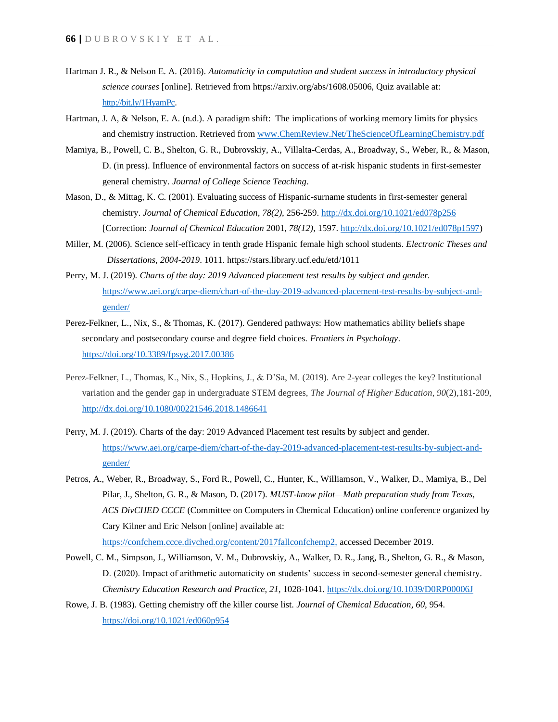- Hartman J. R., & Nelson E. A. (2016). *Automaticity in computation and student success in introductory physical science courses* [online]. Retrieved from https://arxiv.org/abs/1608.05006, Quiz available at: http://bit.ly/1HyamPc.
- Hartman, J. A, & Nelson, E. A. (n.d.). A paradigm shift: The implications of working memory limits for physics and chemistry instruction. Retrieved from [www.ChemReview.Net/TheScienceOfLearningChemistry.pdf](http://www.chemreview.net/TheScienceOfLearningChemistry.pdf)
- Mamiya, B., Powell, C. B., Shelton, G. R., Dubrovskiy, A., Villalta-Cerdas, A., Broadway, S., Weber, R., & Mason, D. (in press). Influence of environmental factors on success of at-risk hispanic students in first-semester general chemistry. *Journal of College Science Teaching*.
- Mason, D., & Mittag, K. C. (2001). Evaluating success of Hispanic-surname students in first-semester general chemistry. *Journal of Chemical Education*, *78(2)*, 256-259[. http://dx.doi.org/10.1021/ed078p256](http://dx.doi.org/10.1021/ed078p256) [Correction: *Journal of Chemical Education* 2001, *78(12)*, 1597[. http://dx.doi.org/10.1021/ed078p1597\)](http://dx.doi.org/10.1021/ed078p1597)
- Miller, M. (2006). Science self-efficacy in tenth grade Hispanic female high school students. *Electronic Theses and Dissertations, 2004-2019*. 1011. https://stars.library.ucf.edu/etd/1011
- Perry, M. J. (2019). *Charts of the day: 2019 Advanced placement test results by subject and gender.*  [https://www.aei.org/carpe-diem/chart-of-the-day-2019-advanced-placement-test-results-by-subject-and](https://www.aei.org/carpe-diem/chart-of-the-day-2019-advanced-placement-test-results-by-subject-and-gender/)[gender/](https://www.aei.org/carpe-diem/chart-of-the-day-2019-advanced-placement-test-results-by-subject-and-gender/)
- Perez-Felkner, L., Nix, S., & Thomas, K. (2017). Gendered pathways: How mathematics ability beliefs shape secondary and postsecondary course and degree field choices. *Frontiers in Psychology*. <https://doi.org/10.3389/fpsyg.2017.00386>
- Perez-Felkner, L., Thomas, K., Nix, S., Hopkins, J., & D'Sa, M. (2019). Are 2-year colleges the key? Institutional variation and the gender gap in undergraduate STEM degrees, *The Journal of Higher Education*, *90*(2),181-209, http://dx.doi.org[/10.1080/00221546.2018.1486641](https://doi.org/10.1080/00221546.2018.1486641)
- Perry, M. J. (2019). Charts of the day: 2019 Advanced Placement test results by subject and gender. [https://www.aei.org/carpe-diem/chart-of-the-day-2019-advanced-placement-test-results-by-subject-and](https://www.aei.org/carpe-diem/chart-of-the-day-2019-advanced-placement-test-results-by-subject-and-gender/)[gender/](https://www.aei.org/carpe-diem/chart-of-the-day-2019-advanced-placement-test-results-by-subject-and-gender/)
- Petros, A., Weber, R., Broadway, S., Ford R., Powell, C., Hunter, K., Williamson, V., Walker, D., Mamiya, B., Del Pilar, J., Shelton, G. R., & Mason, D. (2017). *MUST-know pilot—Math preparation study from Texas, ACS DivCHED CCCE* (Committee on Computers in Chemical Education) online conference organized by Cary Kilner and Eric Nelson [online] available at: [https://confchem.ccce.divched.org/content/2017fallconfchemp2,](https://confchem.ccce.divched.org/content/2017fallconfchemp2) accessed December 2019.
- Powell, C. M., Simpson, J., Williamson, V. M., Dubrovskiy, A., Walker, D. R., Jang, B., Shelton, G. R., & Mason, D. (2020). Impact of arithmetic automaticity on students' success in second-semester general chemistry. *Chemistry Education Research and Practice, 21,* 1028-1041.<https://dx.doi.org/10.1039/D0RP00006J>
- Rowe, J. B. (1983). Getting chemistry off the killer course list. *Journal of Chemical Education*, *60*, 954. <https://doi.org/10.1021/ed060p954>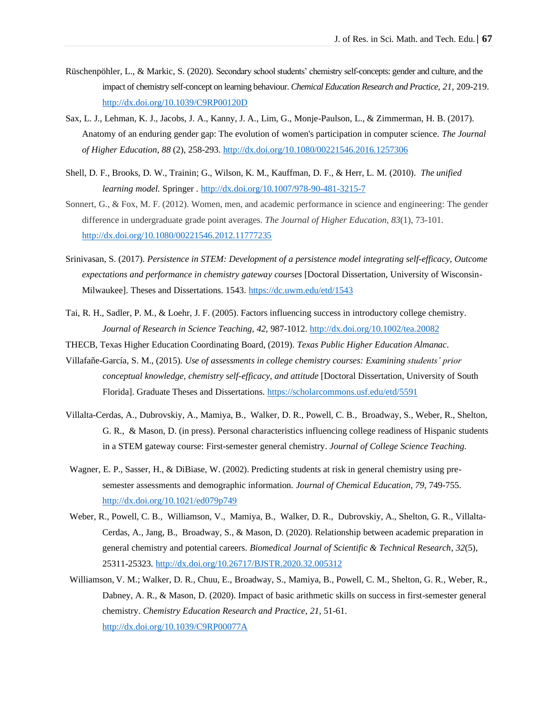- Rüschenpöhler, L., & Markic, S. (2020). Secondary school students' chemistry self-concepts: gender and culture, and the impact of chemistry self-concept on learning behaviour. *Chemical Education Research and Practice, 21*, 209-219. <http://dx.doi.org/10.1039/C9RP00120D>
- Sax, L. J., Lehman, K. J., Jacobs, J. A., Kanny, J. A., Lim, G., Monje-Paulson, L., & Zimmerman, H. B. (2017). Anatomy of an enduring gender gap: The evolution of women's participation in computer science. *The Journal of Higher Education*, *88* (2), 258-293[. http://dx.doi.org/10.1080/00221546.2016.1257306](http://dx.doi.org/10.1080/00221546.2016.1257306)
- Shell, D. F., Brooks, D. W., Trainin; G., Wilson, K. M., Kauffman, D. F., & Herr, L. M. (2010). *The unified learning model.* Springer . <http://dx.doi.org/10.1007/978-90-481-3215-7>
- Sonnert, G., & Fox, M. F. (2012). Women, men, and academic performance in science and engineering: The gender difference in undergraduate grade point averages. *The Journal of Higher Education*, *83*(1), 73-101. http://dx.doi.org[/10.1080/00221546.2012.11777235](https://doi.org/10.1080/00221546.2012.11777235)
- Srinivasan, S. (2017). *Persistence in STEM: Development of a persistence model integrating self-efficacy, Outcome expectations and performance in chemistry gateway courses* [Doctoral Dissertation, University of WisconsinMilwaukee]. Theses and Dissertations. 1543. <https://dc.uwm.edu/etd/1543>
- Tai, R. H., Sadler, P. M., & Loehr, J. F. (2005). Factors influencing success in introductory college chemistry. *Journal of Research in Science Teaching, 42*, 987-1012. http://dx.doi.org/10.1002/tea.20082
- THECB, Texas Higher Education Coordinating Board, (2019). *Texas Public Higher Education Almanac*.
- Villafañe-García, S. M., (2015). *Use of assessments in college chemistry courses: Examining students' prior conceptual knowledge, chemistry self-efficacy, and attitude* [Doctoral Dissertation, University of South Florida]. Graduate Theses and Dissertations.<https://scholarcommons.usf.edu/etd/5591>
- Villalta-Cerdas, A., Dubrovskiy, A., Mamiya, B., Walker, D. R., Powell, C. B., Broadway, S., Weber, R., Shelton, G. R., & Mason, D. (in press). Personal characteristics influencing college readiness of Hispanic students in a STEM gateway course: First-semester general chemistry. *Journal of College Science Teaching*.
- Wagner, E. P., Sasser, H., & DiBiase, W. (2002). Predicting students at risk in general chemistry using presemester assessments and demographic information. *Journal of Chemical Education*, *79*, 749-755. <http://dx.doi.org/10.1021/ed079p749>
- Weber, R., Powell, C. B., Williamson, V., Mamiya, B., Walker, D. R., Dubrovskiy, A., Shelton, G. R., Villalta-Cerdas, A., Jang, B., Broadway, S., & Mason, D. (2020). Relationship between academic preparation in general chemistry and potential careers. *Biomedical Journal of Scientific & Technical Research*, *32*(5), 25311-25323. http://dx.doi.org/10.26717/BJSTR.2020.32.005312
- Williamson, V. M.; Walker, D. R., Chuu, E., Broadway, S., Mamiya, B., Powell, C. M., Shelton, G. R., Weber, R., Dabney, A. R., & Mason, D. (2020). Impact of basic arithmetic skills on success in first-semester general chemistry. *Chemistry Education Research and Practice*, *21*, 51-61. http://dx.doi.org/10.1039/C9RP00077A